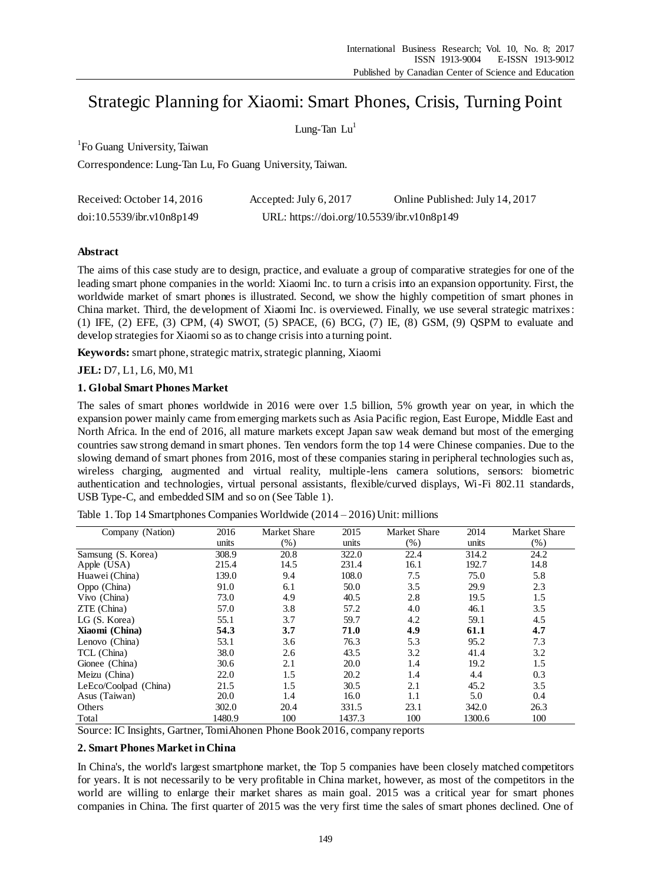# Strategic Planning for Xiaomi: Smart Phones, Crisis, Turning Point

Lung-Tan  $Lu<sup>1</sup>$ 

<sup>1</sup>Fo Guang University, Taiwan

Correspondence: Lung-Tan Lu, Fo Guang University, Taiwan.

| Received: October 14, 2016 | Accepted: July $6, 2017$                   | Online Published: July 14, 2017 |
|----------------------------|--------------------------------------------|---------------------------------|
| doi:10.5539/ibr.v10n8p149  | URL: https://doi.org/10.5539/ibr.v10n8p149 |                                 |

## **Abstract**

The aims of this case study are to design, practice, and evaluate a group of comparative strategies for one of the leading smart phone companies in the world: Xiaomi Inc. to turn a crisis into an expansion opportunity. First, the worldwide market of smart phones is illustrated. Second, we show the highly competition of smart phones in China market. Third, the development of Xiaomi Inc. is overviewed. Finally, we use several strategic matrixes: (1) IFE, (2) EFE, (3) CPM, (4) SWOT, (5) SPACE, (6) BCG, (7) IE, (8) GSM, (9) QSPM to evaluate and develop strategies for Xiaomi so as to change crisis into a turning point.

**Keywords:** smart phone, strategic matrix, strategic planning, Xiaomi

## **JEL:** D7, L1, L6, M0, M1

## **1. Global Smart Phones Market**

The sales of smart phones worldwide in 2016 were over 1.5 billion, 5% growth year on year, in which the expansion power mainly came from emerging markets such as Asia Pacific region, East Europe, Middle East and North Africa. In the end of 2016, all mature markets except Japan saw weak demand but most of the emerging countries saw strong demand in smart phones. Ten vendors form the top 14 were Chinese companies. Due to the slowing demand of smart phones from 2016, most of these companies staring in peripheral technologies such as, wireless charging, augmented and virtual reality, multiple-lens camera solutions, sensors: biometric authentication and technologies, virtual personal assistants, flexible/curved displays, Wi-Fi 802.11 standards, USB Type-C, and embedded SIM and so on (See Table 1).

| Company (Nation)      | 2016   | Market Share | 2015   | <b>Market Share</b> | 2014   | Market Share |
|-----------------------|--------|--------------|--------|---------------------|--------|--------------|
|                       | units  | $(\%)$       | units  | (%)                 | units  | (% )         |
| Samsung (S. Korea)    | 308.9  | 20.8         | 322.0  | 22.4                | 314.2  | 24.2         |
| Apple (USA)           | 215.4  | 14.5         | 231.4  | 16.1                | 192.7  | 14.8         |
| Huawei (China)        | 139.0  | 9.4          | 108.0  | 7.5                 | 75.0   | 5.8          |
| Oppo (China)          | 91.0   | 6.1          | 50.0   | 3.5                 | 29.9   | 2.3          |
| Vivo (China)          | 73.0   | 4.9          | 40.5   | 2.8                 | 19.5   | 1.5          |
| $ZTE$ (China)         | 57.0   | 3.8          | 57.2   | 4.0                 | 46.1   | 3.5          |
| LG (S. Korea)         | 55.1   | 3.7          | 59.7   | 4.2                 | 59.1   | 4.5          |
| Xiaomi (China)        | 54.3   | 3.7          | 71.0   | 4.9                 | 61.1   | 4.7          |
| Lenovo (China)        | 53.1   | 3.6          | 76.3   | 5.3                 | 95.2   | 7.3          |
| TCL (China)           | 38.0   | 2.6          | 43.5   | 3.2                 | 41.4   | 3.2          |
| Gionee (China)        | 30.6   | 2.1          | 20.0   | 1.4                 | 19.2   | 1.5          |
| Meizu (China)         | 22.0   | 1.5          | 20.2   | 1.4                 | 4.4    | 0.3          |
| LeEco/Coolpad (China) | 21.5   | 1.5          | 30.5   | 2.1                 | 45.2   | 3.5          |
| Asus (Taiwan)         | 20.0   | 1.4          | 16.0   | 1.1                 | 5.0    | 0.4          |
| Others                | 302.0  | 20.4         | 331.5  | 23.1                | 342.0  | 26.3         |
| Total                 | 1480.9 | 100          | 1437.3 | 100                 | 1300.6 | 100          |

Table 1. Top 14 Smartphones Companies Worldwide  $(2014 - 2016)$  Unit: millions

Source: IC Insights, Gartner, TomiAhonen Phone Book 2016, company reports

## **2. Smart Phones Market in China**

In China's, the world's largest smartphone market, the Top 5 companies have been closely matched competitors for years. It is not necessarily to be very profitable in China market, however, as most of the competitors in the world are willing to enlarge their market shares as main goal. 2015 was a critical year for smart phones companies in China. The first quarter of 2015 was the very first time the sales of smart phones declined. One of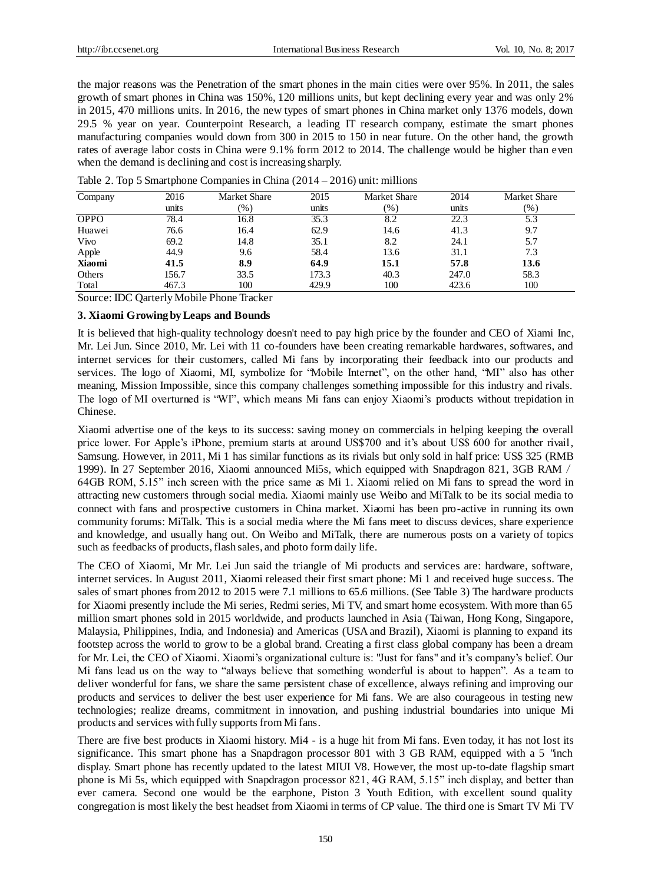the major reasons was the Penetration of the smart phones in the main cities were over 95%. In 2011, the sales growth of smart phones in China was 150%, 120 millions units, but kept declining every year and was only 2% in 2015, 470 millions units. In 2016, the new types of smart phones in China market only 1376 models, down 29.5 % year on year. Counterpoint Research, a leading IT research company, estimate the smart phones manufacturing companies would down from 300 in 2015 to 150 in near future. On the other hand, the growth rates of average labor costs in China were 9.1% form 2012 to 2014. The challenge would be higher than even when the demand is declining and cost is increasing sharply.

| Company     | 2016  | Market Share | 2015  | <b>Market Share</b> | 2014  | Market Share |
|-------------|-------|--------------|-------|---------------------|-------|--------------|
|             | units | $(\%)$       | units | (%)                 | units | $(\%)$       |
| <b>OPPO</b> | 78.4  | 16.8         | 35.3  | 8.2                 | 22.3  | 5.3          |
| Huawei      | 76.6  | 16.4         | 62.9  | 14.6                | 41.3  | 9.7          |
| Vivo        | 69.2  | 14.8         | 35.1  | 8.2                 | 24.1  | 5.7          |
| Apple       | 44.9  | 9.6          | 58.4  | 13.6                | 31.1  | 7.3          |
| Xiaomi      | 41.5  | 8.9          | 64.9  | 15.1                | 57.8  | 13.6         |
| Others      | 156.7 | 33.5         | 173.3 | 40.3                | 247.0 | 58.3         |
| Total       | 467.3 | 100          | 429.9 | 100                 | 423.6 | 100          |

| Table 2. Top 5 Smartphone Companies in China $(2014 – 2016)$ unit: millions |  |  |  |  |  |  |  |
|-----------------------------------------------------------------------------|--|--|--|--|--|--|--|
|-----------------------------------------------------------------------------|--|--|--|--|--|--|--|

Source: IDC Qarterly Mobile Phone Tracker

## **3. Xiaomi Growing by Leaps and Bounds**

It is believed that high-quality technology doesn't need to pay high price by the founder and CEO of Xiami Inc, Mr. Lei Jun. Since 2010, Mr. Lei with 11 co-founders have been creating remarkable hardwares, softwares, and internet services for their customers, called Mi fans by incorporating their feedback into our products and services. The logo of Xiaomi, MI, symbolize for "Mobile Internet", on the other hand, "MI" also has other meaning, Mission Impossible, since this company challenges something impossible for this industry and rivals. The logo of MI overturned is "WI", which means Mi fans can enjoy Xiaomi's products without trepidation in Chinese.

Xiaomi advertise one of the keys to its success: saving money on commercials in helping keeping the overall price lower. For Apple's iPhone, premium starts at around US\$700 and it's about US\$ 600 for another rivail, Samsung. However, in 2011, Mi 1 has similar functions as its rivials but only sold in half price: US\$ 325 (RMB 1999). In 27 September 2016, Xiaomi announced Mi5s, which equipped with Snapdragon 821, 3GB RAM/ 64GB ROM, 5.15" inch screen with the price same as Mi 1. Xiaomi relied on Mi fans to spread the word in attracting new customers through social media. Xiaomi mainly use Weibo and MiTalk to be its social media to connect with fans and prospective customers in China market. Xiaomi has been pro-active in running its own community forums: MiTalk. This is a social media where the Mi fans meet to discuss devices, share experience and knowledge, and usually hang out. On Weibo and MiTalk, there are numerous posts on a variety of topics such as feedbacks of products, flash sales, and photo form daily life.

The CEO of Xiaomi, Mr Mr. Lei Jun said the triangle of Mi products and services are: hardware, software, internet services. In August 2011, Xiaomi released their first smart phone: Mi 1 and received huge success. The sales of smart phones from 2012 to 2015 were 7.1 millions to 65.6 millions. (See Table 3) The hardware products for Xiaomi presently include the Mi series, Redmi series, Mi TV, and smart home ecosystem. With more than 65 million smart phones sold in 2015 worldwide, and products launched in Asia (Taiwan, Hong Kong, Singapore, Malaysia, Philippines, India, and Indonesia) and Americas (USA and Brazil), Xiaomi is planning to expand its footstep across the world to grow to be a global brand. Creating a first class global company has been a dream for Mr. Lei, the CEO of Xiaomi. Xiaomi's organizational culture is: "Just for fans" and it's company's belief. Our Mi fans lead us on the way to "always believe that something wonderful is about to happen". As a te am to deliver wonderful for fans, we share the same persistent chase of excellence, always refining and improving our products and services to deliver the best user experience for Mi fans. We are also courageous in testing new technologies; realize dreams, commitment in innovation, and pushing industrial boundaries into unique Mi products and services with fully supports from Mi fans.

There are five best products in Xiaomi history. Mi4 - is a huge hit from Mi fans. Even today, it has not lost its significance. This smart phone has a Snapdragon processor 801 with 3 GB RAM, equipped with a 5 "inch display. Smart phone has recently updated to the latest MIUI V8. However, the most up-to-date flagship smart phone is Mi 5s, which equipped with Snapdragon processor 821, 4G RAM, 5.15" inch display, and better than ever camera. Second one would be the earphone, Piston 3 Youth Edition, with excellent sound quality congregation is most likely the best headset from Xiaomi in terms of CP value. The third one is Smart TV Mi TV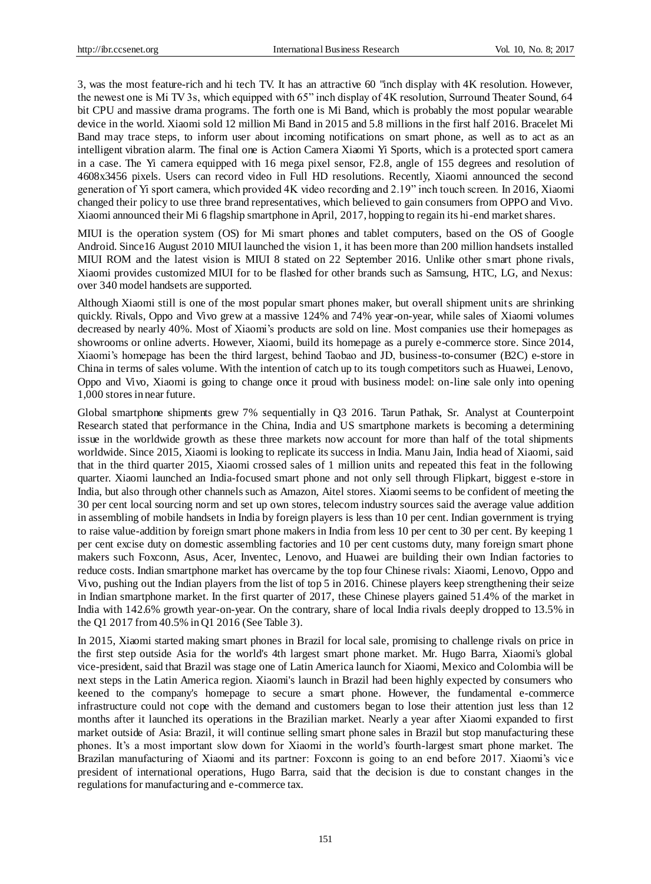3, was the most feature-rich and hi tech TV. It has an attractive 60 "inch display with 4K resolution. However, the newest one is Mi TV 3s, which equipped with 65" inch display of 4K resolution, Surround Theater Sound, 64 bit CPU and massive drama programs. The forth one is Mi Band, which is probably the most popular wearable device in the world. Xiaomi sold 12 million Mi Band in 2015 and 5.8 millions in the first half 2016. Bracelet Mi Band may trace steps, to inform user about incoming notifications on smart phone, as well as to act as an intelligent vibration alarm. The final one is Action Camera Xiaomi Yi Sports, which is a protected sport camera in a case. The Yi camera equipped with 16 mega pixel sensor, F2.8, angle of 155 degrees and resolution of 4608x3456 pixels. Users can record video in Full HD resolutions. Recently, Xiaomi announced the second generation of Yi sport camera, which provided 4K video recording and 2.19" inch touch screen. In 2016, Xiaomi changed their policy to use three brand representatives, which believed to gain consumers from OPPO and Vivo. Xiaomi announced their Mi 6 flagship smartphone in April, 2017, hopping to regain its hi-end market shares.

MIUI is the operation system (OS) for Mi smart phones and tablet computers, based on the OS of Google Android. Since16 August 2010 MIUI launched the vision 1, it has been more than 200 million handsets installed MIUI ROM and the latest vision is MIUI 8 stated on 22 September 2016. Unlike other smart phone rivals, Xiaomi provides customized MIUI for to be flashed for other brands such as Samsung, HTC, LG, and Nexus: over 340 model handsets are supported.

Although Xiaomi still is one of the most popular smart phones maker, but overall shipment units are shrinking quickly. Rivals, Oppo and Vivo grew at a massive 124% and 74% year-on-year, while sales of Xiaomi volumes decreased by nearly 40%. Most of Xiaomi's products are sold on line. Most companies use their homepages as showrooms or online adverts. However, Xiaomi, build its homepage as a purely e-commerce store. Since 2014, Xiaomi's homepage has been the third largest, behind Taobao and JD, business-to-consumer (B2C) e-store in China in terms of sales volume. With the intention of catch up to its tough competitors such as Huawei, Lenovo, Oppo and Vivo, Xiaomi is going to change once it proud with business model: on-line sale only into opening 1,000 stores in near future.

Global smartphone shipments grew 7% sequentially in Q3 2016. Tarun Pathak, Sr. Analyst at Counterpoint Research stated that performance in the China, India and US smartphone markets is becoming a determining issue in the worldwide growth as these three markets now account for more than half of the total shipments worldwide. Since 2015, Xiaomi is looking to replicate its success in India. Manu Jain, India head of Xiaomi, said that in the third quarter 2015, Xiaomi crossed sales of 1 million units and repeated this feat in the following quarter. Xiaomi launched an India-focused smart phone and not only sell through Flipkart, biggest e-store in India, but also through other channels such as Amazon, Aitel stores. Xiaomi seems to be confident of meeting the 30 per cent local sourcing norm and set up own stores, telecom industry sources said the average value addition in assembling of mobile handsets in India by foreign players is less than 10 per cent. Indian government is trying to raise value-addition by foreign smart phone makers in India from less 10 per cent to 30 per cent. By keeping 1 per cent excise duty on domestic assembling factories and 10 per cent customs duty, many foreign smart phone makers such Foxconn, Asus, Acer, Inventec, Lenovo, and Huawei are building their own Indian factories to reduce costs. Indian smartphone market has overcame by the top four Chinese rivals: Xiaomi, Lenovo, Oppo and Vivo, pushing out the Indian players from the list of top 5 in 2016. Chinese players keep strengthening their seize in Indian smartphone market. In the first quarter of 2017, these Chinese players gained 51.4% of the market in India with 142.6% growth year-on-year. On the contrary, share of local India rivals deeply dropped to 13.5% in the Q1 2017 from 40.5% in Q1 2016 (See Table 3).

In 2015, Xiaomi started making smart phones in Brazil for local sale, promising to challenge rivals on price in the first step outside Asia for the world's 4th largest smart phone market. Mr. Hugo Barra, Xiaomi's global vice-president, said that Brazil was stage one of Latin America launch for Xiaomi, Mexico and Colombia will be next steps in the Latin America region. Xiaomi's launch in Brazil had been highly expected by consumers who keened to the company's homepage to secure a smart phone. However, the fundamental e-commerce infrastructure could not cope with the demand and customers began to lose their attention just less than 12 months after it launched its operations in the Brazilian market. Nearly a year after Xiaomi expanded to first market outside of Asia: Brazil, it will continue selling smart phone sales in Brazil but stop manufacturing these phones. It's a most important slow down for Xiaomi in the world's fourth-largest smart phone market. The Brazilan manufacturing of Xiaomi and its partner: Foxconn is going to an end before 2017. Xiaomi's vic e president of international operations, Hugo Barra, said that the decision is due to constant changes in the regulations for manufacturing and e-commerce tax.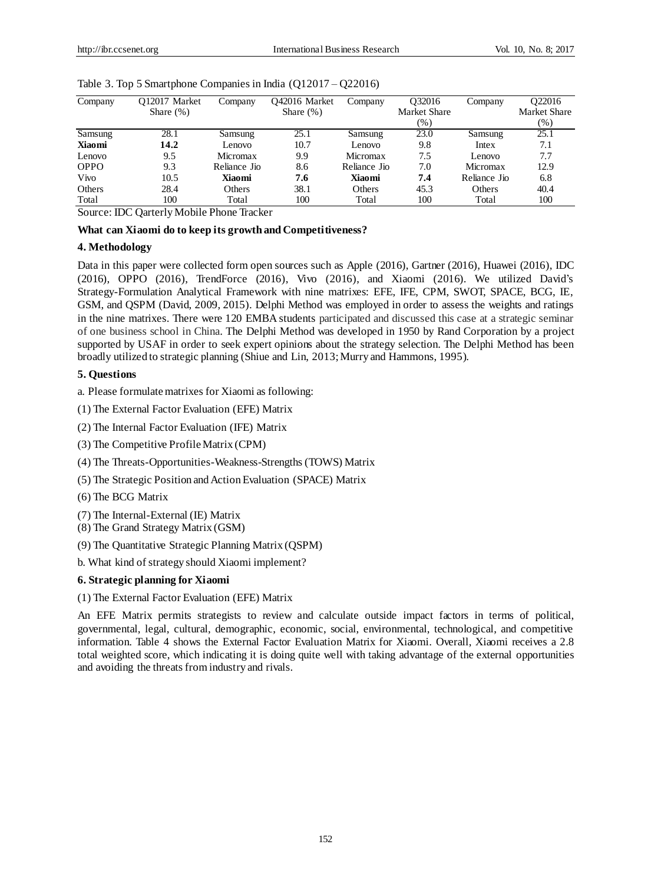| Company     | O12017 Market<br>Share $(\%)$ | Company       | O42016 Market<br>Share $(\%)$ | Company      | O32016<br><b>Market Share</b> | Company       | O22016<br><b>Market Share</b> |
|-------------|-------------------------------|---------------|-------------------------------|--------------|-------------------------------|---------------|-------------------------------|
|             |                               |               |                               |              | $(\% )$                       |               | $(\% )$                       |
|             |                               |               |                               |              |                               |               |                               |
| Samsung     | 28.1                          | Samsung       | 25.1                          | Samsung      | 23.0                          | Samsung       | 25.1                          |
| Xiaomi      | 14.2                          | Lenovo        | 10.7                          | Lenovo       | 9.8                           | Intex         | 7.1                           |
| Lenovo      | 9.5                           | Micromax      | 9.9                           | Micromax     | 7.5                           | Lenovo        | 7.7                           |
| <b>OPPO</b> | 9.3                           | Reliance Jio  | 8.6                           | Reliance Jio | 7.0                           | Micromax      | 12.9                          |
| Vivo        | 10.5                          | Xiaomi        | 7.6                           | Xiaomi       | 7.4                           | Reliance Jio  | 6.8                           |
| Others      | 28.4                          | <b>Others</b> | 38.1                          | Others       | 45.3                          | <b>Others</b> | 40.4                          |
| Total       | 100                           | Total         | 100                           | Total        | 100                           | Total         | 100                           |
|             |                               |               |                               |              |                               |               |                               |

#### Table 3. Top 5 Smartphone Companies in India (Q12017 – Q22016)

Source: IDC Qarterly Mobile Phone Tracker

#### **What can Xiaomi do to keep its growth and Competitiveness?**

## **4. Methodology**

Data in this paper were collected form open sources such as Apple (2016), Gartner (2016), Huawei (2016), IDC (2016), OPPO (2016), TrendForce (2016), Vivo (2016), and Xiaomi (2016). We utilized David's Strategy-Formulation Analytical Framework with nine matrixes: EFE, IFE, CPM, SWOT, SPACE, BCG, IE, GSM, and QSPM (David, 2009, 2015). Delphi Method was employed in order to assess the weights and ratings in the nine matrixes. There were 120 EMBA students participated and discussed this case at a strategic seminar of one business school in China. The Delphi Method was developed in 1950 by Rand Corporation by a project supported by USAF in order to seek expert opinions about the strategy selection. The Delphi Method has been broadly utilized to strategic planning (Shiue and Lin, 2013; Murry and Hammons, 1995).

## **5. Questions**

a. Please formulatematrixes for Xiaomi as following:

- (1) The External Factor Evaluation (EFE) Matrix
- (2) The Internal Factor Evaluation (IFE) Matrix
- (3) The Competitive Profile Matrix (CPM)
- (4) The Threats-Opportunities-Weakness-Strengths (TOWS) Matrix
- (5) The Strategic Position and Action Evaluation (SPACE) Matrix
- (6) The BCG Matrix
- (7) The Internal-External (IE) Matrix
- (8) The Grand Strategy Matrix (GSM)
- (9) The Quantitative Strategic Planning Matrix (QSPM)
- b. What kind of strategy should Xiaomi implement?

#### **6. Strategic planning for Xiaomi**

## (1) The External Factor Evaluation (EFE) Matrix

An EFE Matrix permits strategists to review and calculate outside impact factors in terms of political, governmental, legal, cultural, demographic, economic, social, environmental, technological, and competitive information. Table 4 shows the External Factor Evaluation Matrix for Xiaomi. Overall, Xiaomi receives a 2.8 total weighted score, which indicating it is doing quite well with taking advantage of the external opportunities and avoiding the threats from industry and rivals.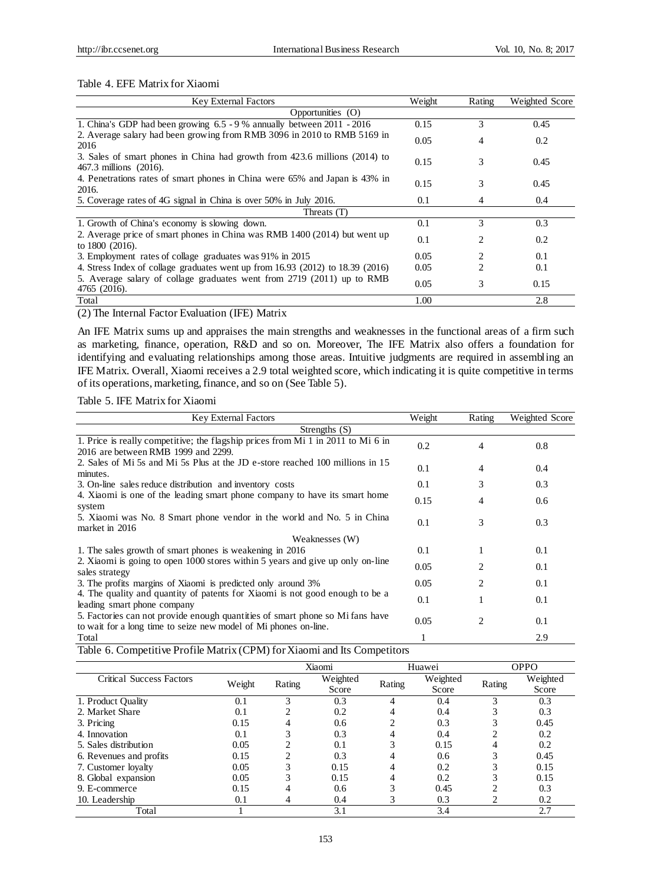#### Table 4. EFE Matrix for Xiaomi

| <b>Key External Factors</b>                                                                          | Weight | Rating         | Weighted Score |
|------------------------------------------------------------------------------------------------------|--------|----------------|----------------|
| Opportunities (O)                                                                                    |        |                |                |
| 1. China's GDP had been growing $6.5 - 9$ % annually between 2011 - 2016                             | 0.15   | 3              | 0.45           |
| 2. Average salary had been growing from RMB 3096 in 2010 to RMB 5169 in<br>2016                      | 0.05   | 4              | 0.2            |
| 3. Sales of smart phones in China had growth from 423.6 millions (2014) to<br>467.3 millions (2016). | 0.15   | 3              | 0.45           |
| 4. Penetrations rates of smart phones in China were 65% and Japan is 43% in<br>2016.                 | 0.15   | 3              | 0.45           |
| 5. Coverage rates of 4G signal in China is over 50% in July 2016.                                    | 0.1    | 4              | 0.4            |
| Threats (T)                                                                                          |        |                |                |
| 1. Growth of China's economy is slowing down.                                                        | 0.1    | 3              | 0.3            |
| 2. Average price of smart phones in China was RMB 1400 (2014) but went up<br>to 1800 (2016).         | 0.1    | 2              | 0.2            |
| 3. Employment rates of collage graduates was 91% in 2015                                             | 0.05   | 2              | 0.1            |
| 4. Stress Index of collage graduates went up from 16.93 (2012) to 18.39 (2016)                       | 0.05   | $\mathfrak{D}$ | 0.1            |
| 5. Average salary of collage graduates went from 2719 (2011) up to RMB<br>4765 (2016).               | 0.05   | 3              | 0.15           |
| Total                                                                                                | 1.00   |                | 2.8            |

(2) The Internal Factor Evaluation (IFE) Matrix

An IFE Matrix sums up and appraises the main strengths and weaknesses in the functional areas of a firm such as marketing, finance, operation, R&D and so on. Moreover, The IFE Matrix also offers a foundation for identifying and evaluating relationships among those areas. Intuitive judgments are required in assembling an IFE Matrix. Overall, Xiaomi receives a 2.9 total weighted score, which indicating it is quite competitive in terms of its operations, marketing, finance, and so on (See Table 5).

## Table 5. IFE Matrix for Xiaomi

| <b>Key External Factors</b>                                                                                                                       | Weight | Rating         | Weighted Score |
|---------------------------------------------------------------------------------------------------------------------------------------------------|--------|----------------|----------------|
| Strengths $(S)$                                                                                                                                   |        |                |                |
| 1. Price is really competitive; the flagship prices from Mi 1 in 2011 to Mi 6 in<br>2016 are between RMB 1999 and 2299.                           | 0.2    | 4              | 0.8            |
| 2. Sales of Mi 5s and Mi 5s Plus at the JD e-store reached 100 millions in 15<br>minutes.                                                         | 0.1    | 4              | 0.4            |
| 3. On-line sales reduce distribution and inventory costs                                                                                          | 0.1    | 3              | 0.3            |
| 4. Xiaomi is one of the leading smart phone company to have its smart home<br>system                                                              | 0.15   | 4              | 0.6            |
| 5. Xiaomi was No. 8 Smart phone vendor in the world and No. 5 in China<br>market in 2016                                                          | 0.1    | 3              | 0.3            |
| Weaknesses (W)                                                                                                                                    |        |                |                |
| 1. The sales growth of smart phones is weakening in 2016                                                                                          | 0.1    | 1              | 0.1            |
| 2. Xiaomi is going to open 1000 stores within 5 years and give up only on-line<br>sales strategy                                                  | 0.05   | $\mathfrak{D}$ | 0.1            |
| 3. The profits margins of Xiaomi is predicted only around 3%                                                                                      | 0.05   | $\mathfrak{D}$ | 0.1            |
| 4. The quality and quantity of patents for Xiaomi is not good enough to be a<br>leading smart phone company                                       | 0.1    |                | 0.1            |
| 5. Factories can not provide enough quantities of smart phone so Mi fans have<br>to wait for a long time to seize new model of Mi phones on-line. | 0.05   | 2              | 0.1            |
| Total                                                                                                                                             |        |                | 2.9            |

Table 6. Competitive Profile Matrix (CPM) for Xiaomi and Its Competitors

|                                 |        |        | Xiaomi            |        | Huawei            |        | OPPO              |
|---------------------------------|--------|--------|-------------------|--------|-------------------|--------|-------------------|
| <b>Critical Success Factors</b> | Weight | Rating | Weighted<br>Score | Rating | Weighted<br>Score | Rating | Weighted<br>Score |
| 1. Product Quality              | 0.1    | 3      | 0.3               |        | 0.4               | 3      | 0.3               |
| 2. Market Share                 | 0.1    |        | 0.2               |        | 0.4               |        | 0.3               |
| 3. Pricing                      | 0.15   |        | 0.6               |        | 0.3               |        | 0.45              |
| 4. Innovation                   | 0.1    |        | 0.3               |        | 0.4               |        | 0.2               |
| 5. Sales distribution           | 0.05   |        | 0.1               |        | 0.15              | 4      | 0.2               |
| 6. Revenues and profits         | 0.15   |        | 0.3               |        | 0.6               |        | 0.45              |
| 7. Customer loyalty             | 0.05   | 3      | 0.15              |        | 0.2               | 3      | 0.15              |
| 8. Global expansion             | 0.05   | 3      | 0.15              |        | 0.2               |        | 0.15              |
| 9. E-commerce                   | 0.15   | 4      | 0.6               |        | 0.45              |        | 0.3               |
| 10. Leadership                  | 0.1    | 4      | 0.4               |        | 0.3               |        | 0.2               |
| Total                           |        |        | 3.1               |        | 3.4               |        | 2.7               |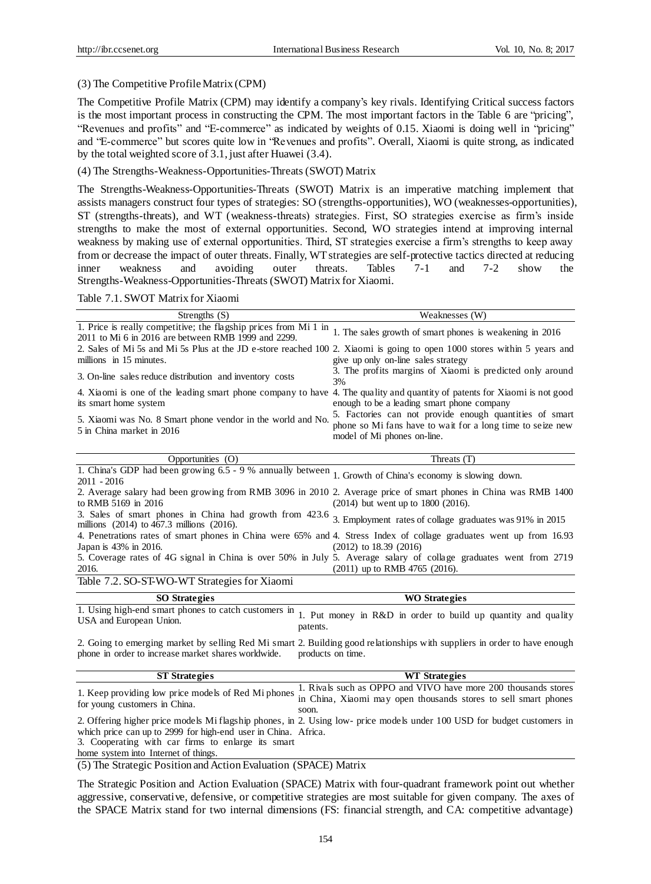## (3) The Competitive Profile Matrix (CPM)

The Competitive Profile Matrix (CPM) may identify a company's key rivals. Identifying Critical success factors is the most important process in constructing the CPM. The most important factors in the Table 6 are "pricing", "Revenues and profits" and "E-commerce" as indicated by weights of 0.15. Xiaomi is doing well in "pricing" and "E-commerce" but scores quite low in "Revenues and profits". Overall, Xiaomi is quite strong, as indicated by the total weighted score of 3.1, just after Huawei (3.4).

## (4) The Strengths-Weakness-Opportunities-Threats (SWOT) Matrix

The Strengths-Weakness-Opportunities-Threats (SWOT) Matrix is an imperative matching implement that assists managers construct four types of strategies: SO (strengths-opportunities), WO (weaknesses-opportunities), ST (strengths-threats), and WT (weakness-threats) strategies. First, SO strategies exercise as firm's inside strengths to make the most of external opportunities. Second, WO strategies intend at improving internal weakness by making use of external opportunities. Third, ST strategies exercise a firm's strengths to keep away from or decrease the impact of outer threats. Finally, WT strategies are self-protective tactics directed at reducing inner weakness and avoiding outer threats. Tables 7-1 and 7-2 show the Strengths-Weakness-Opportunities-Threats (SWOT) Matrix for Xiaomi.

Table 7.1. SWOT Matrix for Xiaomi

| Strengths $(S)$                                                                                                                                    | Weaknesses (W)                                                                                                                                       |
|----------------------------------------------------------------------------------------------------------------------------------------------------|------------------------------------------------------------------------------------------------------------------------------------------------------|
| 1. Price is really competitive; the flagship prices from Mi 1 in<br>2011 to Mi 6 in 2016 are between RMB 1999 and 2299.                            | 1. The sales growth of smart phones is weakening in 2016                                                                                             |
| 2. Sales of Mi 5s and Mi 5s Plus at the JD e-store reached 100 2. Xiaomi is going to open 1000 stores within 5 years and                           |                                                                                                                                                      |
| millions in 15 minutes.                                                                                                                            | give up only on-line sales strategy                                                                                                                  |
| 3. On-line sales reduce distribution and inventory costs                                                                                           | 3. The profits margins of Xiaomi is predicted only around<br>3%                                                                                      |
| 4. Xiaomi is one of the leading smart phone company to have 4. The quality and quantity of patents for Xiaomi is not good<br>its smart home system | enough to be a leading smart phone company                                                                                                           |
| 5. Xiaomi was No. 8 Smart phone vendor in the world and No.<br>5 in China market in 2016                                                           | 5. Factories can not provide enough quantities of smart<br>phone so Mi fans have to wait for a long time to seize new<br>model of Mi phones on-line. |
| Opportunities (O)<br>1.0111 1.00001 11<br>$\sim$ $\sim$ $\sim$ $\sim$<br>$\mathbf{11}$ $\mathbf{1}$                                                | Threats (T)                                                                                                                                          |

| 1. China's GDP had been growing $6.5 - 9$ % annually between 1. Growth of China's economy is slowing down.                                                         |                                      |
|--------------------------------------------------------------------------------------------------------------------------------------------------------------------|--------------------------------------|
| 2011 - 2016                                                                                                                                                        |                                      |
| 2. Average salary had been growing from RMB 3096 in 2010 2. Average price of smart phones in China was RMB 1400                                                    |                                      |
| to RMB 5169 in 2016                                                                                                                                                | $(2014)$ but went up to 1800 (2016). |
| 3. Sales of smart phones in China had growth from 423.6 3. Employment rates of collage graduates was 91% in 2015<br>millions $(2014)$ to 467.3 millions $(2016)$ . |                                      |
| 4. Penetrations rates of smart phones in China were 65% and 4. Stress Index of collage graduates went up from 16.93                                                |                                      |
| Japan is 43% in 2016.                                                                                                                                              | $(2012)$ to 18.39 $(2016)$           |
| 5. Coverage rates of 4G signal in China is over 50% in July 5. Average salary of collage graduates went from 2719                                                  |                                      |
| 2016.                                                                                                                                                              | $(2011)$ up to RMB 4765 $(2016)$ .   |
| Table 7.2. SO-ST-WO-WT Strategies for Xiaomi                                                                                                                       |                                      |

| <b>SO</b> Strategies    | <b>WO</b> Strategies                                                                                                           |
|-------------------------|--------------------------------------------------------------------------------------------------------------------------------|
| USA and European Union. | 1. Using high-end smart phones to catch customers in 1. Put money in R&D in order to build up quantity and quality<br>patents. |

2. Going to emerging market by selling Red Mi smart 2. Building good relationships with suppliers in order to have enough phone in order to increase market shares worldwide. products on time.

| <b>ST Strategies</b>                                                                                                 | <b>WT</b> Strategies                                                                                                                              |
|----------------------------------------------------------------------------------------------------------------------|---------------------------------------------------------------------------------------------------------------------------------------------------|
|                                                                                                                      | 1. Keep providing low price models of Red Mi phones $\frac{1}{\ln \text{China}}$ , Xiaomi may open thousands stores to sell smart phones<br>soon. |
| which price can up to 2999 for high-end user in China. Africa.<br>3. Cooperating with car firms to enlarge its smart | 2. Offering higher price models Mi flagship phones, in 2. Using low- price models under 100 USD for budget customers in                           |
| home system into Internet of things.                                                                                 |                                                                                                                                                   |

(5) The Strategic Position and Action Evaluation (SPACE) Matrix

The Strategic Position and Action Evaluation (SPACE) Matrix with four-quadrant framework point out whether aggressive, conservative, defensive, or competitive strategies are most suitable for given company. The axes of the SPACE Matrix stand for two internal dimensions (FS: financial strength, and CA: competitive advantage)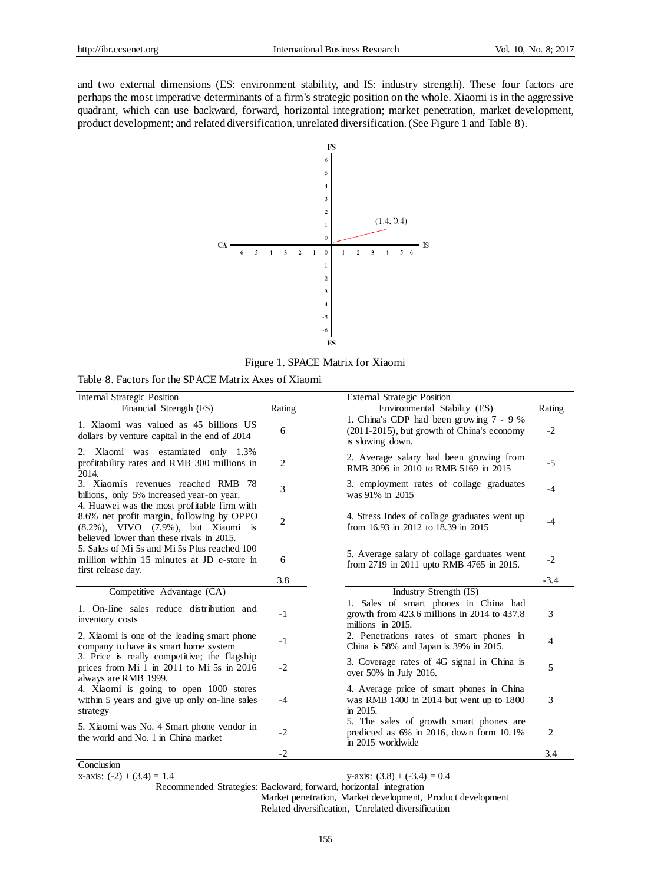and two external dimensions (ES: environment stability, and IS: industry strength). These four factors are perhaps the most imperative determinants of a firm's strategic position on the whole. Xiaomi is in the aggressive quadrant, which can use backward, forward, horizontal integration; market penetration, market development, product development; and related diversification, unrelated diversification.(See Figure 1 and Table 8).



Figure 1. SPACE Matrix for Xiaomi

Table 8. Factors for the SPACE Matrix Axes of Xiaomi

| <b>Internal Strategic Position</b>                                                                                                                                                                                                                                                                               | <b>External Strategic Position</b> |                                                                                                                 |                |  |  |  |  |
|------------------------------------------------------------------------------------------------------------------------------------------------------------------------------------------------------------------------------------------------------------------------------------------------------------------|------------------------------------|-----------------------------------------------------------------------------------------------------------------|----------------|--|--|--|--|
| Financial Strength (FS)                                                                                                                                                                                                                                                                                          | Rating                             | Environmental Stability (ES)                                                                                    | Rating         |  |  |  |  |
| 1. Xiaomi was valued as 45 billions US<br>dollars by venture capital in the end of 2014                                                                                                                                                                                                                          | 6                                  | 1. China's GDP had been growing 7 - 9 %<br>(2011-2015), but growth of China's economy<br>is slowing down.       | $-2$           |  |  |  |  |
| Xiaomi was estamiated only 1.3%<br>2.<br>profitability rates and RMB 300 millions in<br>2014.                                                                                                                                                                                                                    | 2                                  | 2. Average salary had been growing from<br>RMB 3096 in 2010 to RMB 5169 in 2015                                 | $-5$           |  |  |  |  |
| 3. Xiaomi's revenues reached RMB 78<br>billions, only 5% increased year-on year.<br>4. Huawei was the most profitable firm with                                                                                                                                                                                  | 3                                  | 3. employment rates of collage graduates<br>was 91% in 2015                                                     | $-4$           |  |  |  |  |
| 8.6% net profit margin, following by OPPO<br>(8.2%), VIVO (7.9%), but Xiaomi is<br>believed lower than these rivals in 2015.<br>5. Sales of Mi 5s and Mi 5s Plus reached 100<br>million within 15 minutes at JD e-store in<br>first release day.                                                                 | $\overline{2}$                     | 4. Stress Index of collage graduates went up<br>from 16.93 in 2012 to 18.39 in 2015                             | $-4$           |  |  |  |  |
|                                                                                                                                                                                                                                                                                                                  | 6                                  | 5. Average salary of collage garduates went<br>from 2719 in 2011 upto RMB 4765 in 2015.                         |                |  |  |  |  |
|                                                                                                                                                                                                                                                                                                                  | 3.8                                |                                                                                                                 | $-3.4$         |  |  |  |  |
| Competitive Advantage (CA)                                                                                                                                                                                                                                                                                       |                                    | Industry Strength (IS)                                                                                          |                |  |  |  |  |
| 1. On-line sales reduce distribution and<br>inventory costs                                                                                                                                                                                                                                                      | $-1$                               | 1. Sales of smart phones in China had<br>growth from $423.6$ millions in $2014$ to $437.8$<br>millions in 2015. | 3              |  |  |  |  |
| 2. Xiaomi is one of the leading smart phone<br>company to have its smart home system<br>3. Price is really competitive; the flagship<br>prices from Mi 1 in 2011 to Mi 5s in 2016<br>always are RMB 1999.<br>4. Xiaomi is going to open 1000 stores<br>within 5 years and give up only on-line sales<br>strategy | $-1$                               | 2. Penetrations rates of smart phones in<br>China is $58\%$ and Japan is $39\%$ in 2015.                        | $\overline{4}$ |  |  |  |  |
|                                                                                                                                                                                                                                                                                                                  | $-2$                               | 3. Coverage rates of 4G signal in China is<br>over 50% in July 2016.                                            | 5              |  |  |  |  |
|                                                                                                                                                                                                                                                                                                                  | $-4$                               | 4. Average price of smart phones in China<br>was RMB 1400 in 2014 but went up to 1800<br>in 2015.               | 3              |  |  |  |  |
| 5. Xiaomi was No. 4 Smart phone vendor in<br>the world and No. 1 in China market                                                                                                                                                                                                                                 | $-2$                               | 5. The sales of growth smart phones are<br>predicted as $6\%$ in 2016, down form 10.1%<br>in 2015 worldwide     | 2              |  |  |  |  |
|                                                                                                                                                                                                                                                                                                                  | $-2$                               |                                                                                                                 | 3.4            |  |  |  |  |
| Conclusion                                                                                                                                                                                                                                                                                                       |                                    |                                                                                                                 |                |  |  |  |  |

x-axis:  $(-2) + (3.4) = 1.4$  y-axis:  $(3.8) + (-3.4) = 0.4$ 

Recommended Strategies: Backward, forward, horizontal integration Market penetration, Market development, Product development

Related diversification, Unrelated diversification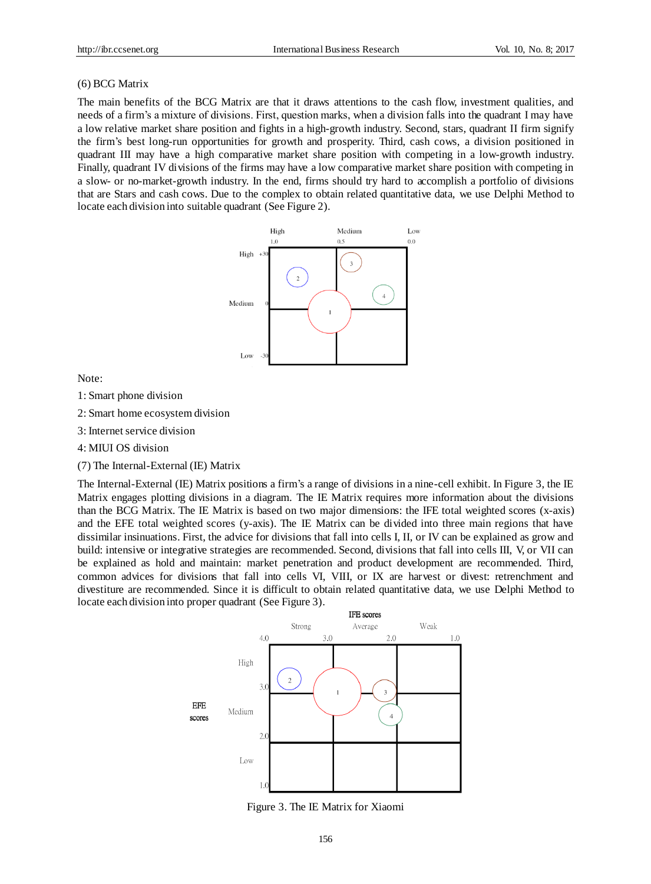#### (6) BCG Matrix

The main benefits of the BCG Matrix are that it draws attentions to the cash flow, investment qualities, and needs of a firm's a mixture of divisions. First, question marks, when a division falls into the quadrant I may have a low relative market share position and fights in a high-growth industry. Second, stars, quadrant II firm signify the firm's best long-run opportunities for growth and prosperity. Third, cash cows, a division positioned in quadrant III may have a high comparative market share position with competing in a low-growth industry. Finally, quadrant IV divisions of the firms may have a low comparative market share position with competing in a slow- or no-market-growth industry. In the end, firms should try hard to accomplish a portfolio of divisions that are Stars and cash cows. Due to the complex to obtain related quantitative data, we use Delphi Method to locate each division into suitable quadrant (See Figure 2).



Note:

- 1: Smart phone division
- 2: Smart home ecosystem division
- 3: Internet service division
- 4: MIUI OS division
- (7) The Internal-External (IE) Matrix

The Internal-External (IE) Matrix positions a firm's a range of divisions in a nine-cell exhibit. In Figure 3, the IE Matrix engages plotting divisions in a diagram. The IE Matrix requires more information about the divisions than the BCG Matrix. The IE Matrix is based on two major dimensions: the IFE total weighted scores (x-axis) and the EFE total weighted scores (y-axis). The IE Matrix can be divided into three main regions that have dissimilar insinuations. First, the advice for divisions that fall into cells I, II, or IV can be explained as grow and build: intensive or integrative strategies are recommended. Second, divisions that fall into cells III, V, or VII can be explained as hold and maintain: market penetration and product development are recommended. Third, common advices for divisions that fall into cells VI, VIII, or IX are harvest or divest: retrenchment and divestiture are recommended. Since it is difficult to obtain related quantitative data, we use Delphi Method to locate each division into proper quadrant (See Figure 3).



Figure 3. The IE Matrix for Xiaomi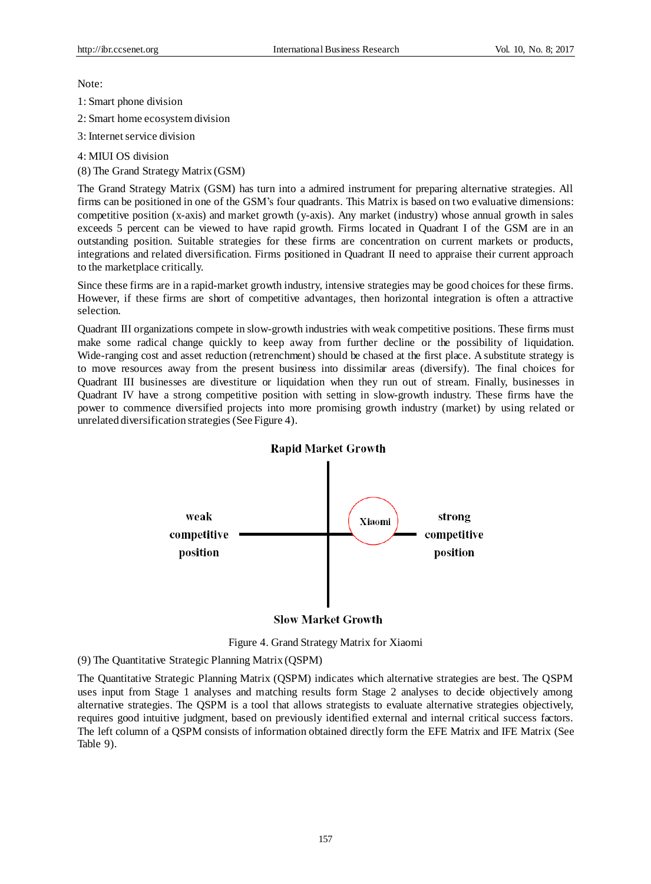Note:

1: Smart phone division

2: Smart home ecosystem division

3: Internet service division

4: MIUI OS division (8) The Grand Strategy Matrix (GSM)

The Grand Strategy Matrix (GSM) has turn into a admired instrument for preparing alternative strategies. All firms can be positioned in one of the GSM's four quadrants. This Matrix is based on two evaluative dimensions: competitive position (x-axis) and market growth (y-axis). Any market (industry) whose annual growth in sales exceeds 5 percent can be viewed to have rapid growth. Firms located in Quadrant I of the GSM are in an outstanding position. Suitable strategies for these firms are concentration on current markets or products, integrations and related diversification. Firms positioned in Quadrant II need to appraise their current approach to the marketplace critically.

Since these firms are in a rapid-market growth industry, intensive strategies may be good choices for these firms. However, if these firms are short of competitive advantages, then horizontal integration is often a attractive selection.

Quadrant III organizations compete in slow-growth industries with weak competitive positions. These firms must make some radical change quickly to keep away from further decline or the possibility of liquidation. Wide-ranging cost and asset reduction (retrenchment) should be chased at the first place. A substitute strategy is to move resources away from the present business into dissimilar areas (diversify). The final choices for Quadrant III businesses are divestiture or liquidation when they run out of stream. Finally, businesses in Quadrant IV have a strong competitive position with setting in slow-growth industry. These firms have the power to commence diversified projects into more promising growth industry (market) by using related or unrelated diversification strategies (See Figure 4).



#### **Slow Market Growth**

Figure 4. Grand Strategy Matrix for Xiaomi

(9) The Quantitative Strategic Planning Matrix (QSPM)

The Quantitative Strategic Planning Matrix (QSPM) indicates which alternative strategies are best. The QSPM uses input from Stage 1 analyses and matching results form Stage 2 analyses to decide objectively among alternative strategies. The QSPM is a tool that allows strategists to evaluate alternative strategies objectively, requires good intuitive judgment, based on previously identified external and internal critical success factors. The left column of a QSPM consists of information obtained directly form the EFE Matrix and IFE Matrix (See Table 9).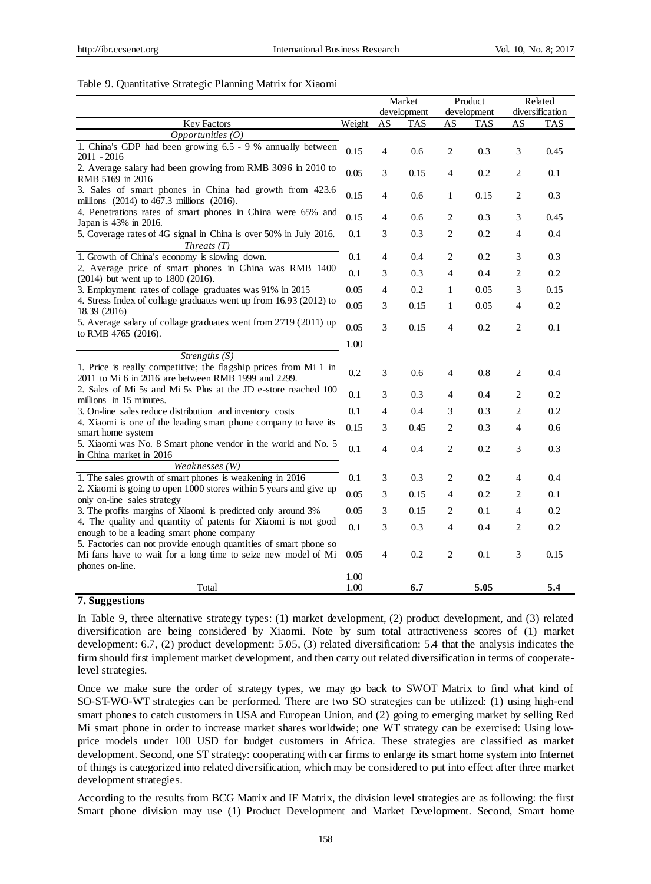#### Table 9. Quantitative Strategic Planning Matrix for Xiaomi

|                                                                                                                                                                                                                                                                                                                                                                                                                                                                                                     |        | Market         |             | Product        |            | Related        |                 |  |
|-----------------------------------------------------------------------------------------------------------------------------------------------------------------------------------------------------------------------------------------------------------------------------------------------------------------------------------------------------------------------------------------------------------------------------------------------------------------------------------------------------|--------|----------------|-------------|----------------|------------|----------------|-----------------|--|
|                                                                                                                                                                                                                                                                                                                                                                                                                                                                                                     |        |                | development | development    |            |                | diversification |  |
| <b>Key Factors</b>                                                                                                                                                                                                                                                                                                                                                                                                                                                                                  | Weight | AS             | <b>TAS</b>  | AS             | <b>TAS</b> | AS             | <b>TAS</b>      |  |
| Opportunities $(0)$                                                                                                                                                                                                                                                                                                                                                                                                                                                                                 |        |                |             |                |            |                |                 |  |
| 1. China's GDP had been growing 6.5 - 9 % annually between<br>2011 - 2016                                                                                                                                                                                                                                                                                                                                                                                                                           | 0.15   | 4              | 0.6         | 2              | 0.3        | 3              | 0.45            |  |
| 2. Average salary had been growing from RMB 3096 in 2010 to<br>RMB 5169 in 2016                                                                                                                                                                                                                                                                                                                                                                                                                     | 0.05   | 3              | 0.15        | $\overline{4}$ | 0.2        | 2              | 0.1             |  |
| 3. Sales of smart phones in China had growth from 423.6<br>millions (2014) to 467.3 millions (2016).<br>4. Penetrations rates of smart phones in China were 65% and<br>Japan is 43% in 2016.<br>5. Coverage rates of 4G signal in China is over 50% in July 2016.                                                                                                                                                                                                                                   |        | 4              | 0.6         | 1              | 0.15       | 2              | 0.3             |  |
|                                                                                                                                                                                                                                                                                                                                                                                                                                                                                                     |        | 4              | 0.6         | 2              | 0.3        | 3              | 0.45            |  |
|                                                                                                                                                                                                                                                                                                                                                                                                                                                                                                     |        | 3              | 0.3         | 2              | 0.2        | 4              | 0.4             |  |
| Threats $(T)$                                                                                                                                                                                                                                                                                                                                                                                                                                                                                       |        |                |             |                |            |                |                 |  |
| 1. Growth of China's economy is slowing down.                                                                                                                                                                                                                                                                                                                                                                                                                                                       | 0.1    | 4              | 0.4         | 2              | 0.2        | 3              | 0.3             |  |
| 2. Average price of smart phones in China was RMB 1400<br>(2014) but went up to 1800 (2016).<br>3. Employment rates of collage graduates was 91% in 2015<br>4. Stress Index of collage graduates went up from 16.93 (2012) to<br>18.39 (2016)                                                                                                                                                                                                                                                       |        | 3              | 0.3         | 4              | 0.4        | 2              | 0.2             |  |
|                                                                                                                                                                                                                                                                                                                                                                                                                                                                                                     |        | 4              | 0.2         | 1              | 0.05       | 3              | 0.15            |  |
|                                                                                                                                                                                                                                                                                                                                                                                                                                                                                                     |        | 3              | 0.15        | 1              | 0.05       | 4              | 0.2             |  |
| 5. Average salary of collage graduates went from 2719 (2011) up<br>to RMB 4765 (2016).                                                                                                                                                                                                                                                                                                                                                                                                              | 0.05   | 3              | 0.15        | $\overline{4}$ | 0.2        | $\mathfrak{2}$ | 0.1             |  |
|                                                                                                                                                                                                                                                                                                                                                                                                                                                                                                     | 1.00   |                |             |                |            |                |                 |  |
| Strengths $(S)$                                                                                                                                                                                                                                                                                                                                                                                                                                                                                     |        |                |             |                |            |                |                 |  |
| 1. Price is really competitive; the flagship prices from Mi 1 in<br>2011 to Mi 6 in 2016 are between RMB 1999 and 2299.<br>2. Sales of Mi 5s and Mi 5s Plus at the JD e-store reached 100<br>millions in 15 minutes.                                                                                                                                                                                                                                                                                |        | 3              | 0.6         | 4              | 0.8        | 2              | 0.4             |  |
|                                                                                                                                                                                                                                                                                                                                                                                                                                                                                                     |        | 3              | 0.3         | 4              | 0.4        | 2              | 0.2             |  |
| 3. On-line sales reduce distribution and inventory costs<br>4. Xiaomi is one of the leading smart phone company to have its<br>smart home system<br>5. Xiaomi was No. 8 Smart phone vendor in the world and No. 5<br>in China market in 2016                                                                                                                                                                                                                                                        |        | 4              | 0.4         | 3              | 0.3        | 2              | 0.2             |  |
|                                                                                                                                                                                                                                                                                                                                                                                                                                                                                                     |        | 3              | 0.45        | 2              | 0.3        | 4              | 0.6             |  |
|                                                                                                                                                                                                                                                                                                                                                                                                                                                                                                     |        | $\overline{4}$ | 0.4         | 2              | 0.2        | 3              | 0.3             |  |
| Weaknesses (W)                                                                                                                                                                                                                                                                                                                                                                                                                                                                                      |        |                |             |                |            |                |                 |  |
| 1. The sales growth of smart phones is weakening in 2016<br>2. Xiaomi is going to open 1000 stores within 5 years and give up<br>only on-line sales strategy<br>3. The profits margins of Xiaomi is predicted only around 3%<br>4. The quality and quantity of patents for Xiaomi is not good<br>enough to be a leading smart phone company<br>5. Factories can not provide enough quantities of smart phone so<br>Mi fans have to wait for a long time to seize new model of Mi<br>phones on-line. |        | 3              | 0.3         | 2              | 0.2        | 4              | 0.4             |  |
|                                                                                                                                                                                                                                                                                                                                                                                                                                                                                                     |        | 3              | 0.15        | 4              | 0.2        | $\overline{c}$ | 0.1             |  |
|                                                                                                                                                                                                                                                                                                                                                                                                                                                                                                     |        | 3              | 0.15        | 2              | 0.1        | $\overline{4}$ | 0.2             |  |
|                                                                                                                                                                                                                                                                                                                                                                                                                                                                                                     |        | 3              | 0.3         | 4              | 0.4        | $\overline{c}$ | 0.2             |  |
|                                                                                                                                                                                                                                                                                                                                                                                                                                                                                                     |        | $\overline{4}$ | 0.2         | 2              | 0.1        | 3              | 0.15            |  |
|                                                                                                                                                                                                                                                                                                                                                                                                                                                                                                     | 1.00   |                |             |                |            |                |                 |  |
| Total                                                                                                                                                                                                                                                                                                                                                                                                                                                                                               | 1.00   |                | 6.7         |                | 5.05       |                | 5.4             |  |

#### **7. Suggestions**

In Table 9, three alternative strategy types: (1) market development, (2) product development, and (3) related diversification are being considered by Xiaomi. Note by sum total attractiveness scores of (1) market development: 6.7, (2) product development: 5.05, (3) related diversification: 5.4 that the analysis indicates the firm should first implement market development, and then carry out related diversification in terms of cooperatelevel strategies.

Once we make sure the order of strategy types, we may go back to SWOT Matrix to find what kind of SO-ST-WO-WT strategies can be performed. There are two SO strategies can be utilized: (1) using high-end smart phones to catch customers in USA and European Union, and (2) going to emerging market by selling Red Mi smart phone in order to increase market shares worldwide; one WT strategy can be exercised: Using lowprice models under 100 USD for budget customers in Africa. These strategies are classified as market development. Second, one ST strategy: cooperating with car firms to enlarge its smart home system into Internet of things is categorized into related diversification, which may be considered to put into effect after three market development strategies.

According to the results from BCG Matrix and IE Matrix, the division level strategies are as following: the first Smart phone division may use (1) Product Development and Market Development. Second, Smart home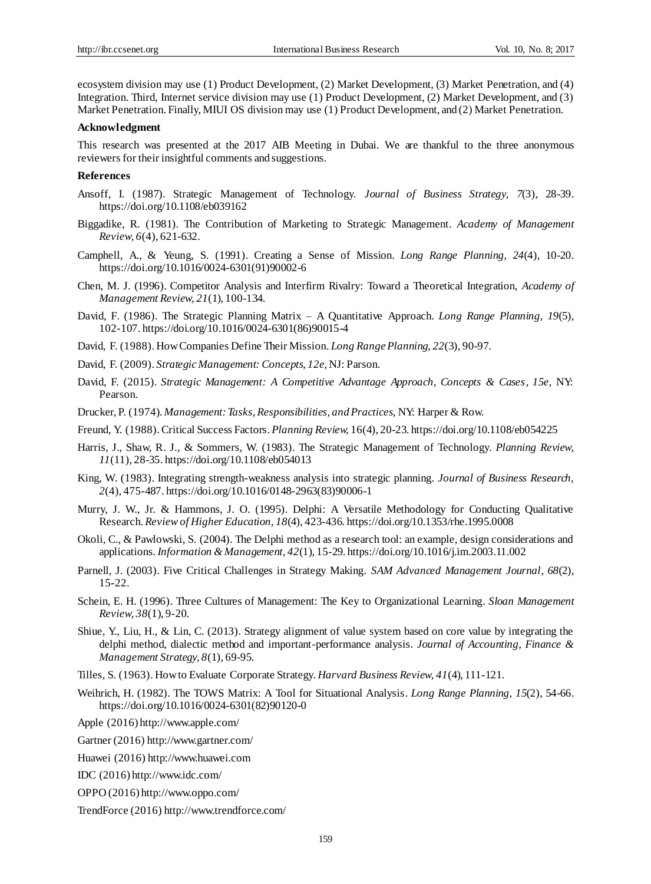ecosystem division may use (1) Product Development, (2) Market Development, (3) Market Penetration, and (4) Integration. Third, Internet service division may use (1) Product Development, (2) Market Development, and (3) Market Penetration. Finally, MIUI OS division may use (1) Product Development, and (2) Market Penetration.

#### **Acknowledgment**

This research was presented at the 2017 AIB Meeting in Dubai. We are thankful to the three anonymous reviewers for their insightful comments and suggestions.

#### **References**

- Ansoff, I. (1987). Strategic Management of Technology. *Journal of Business Strategy, 7*(3), 28-39. https://doi.org/10.1108/eb039162
- Biggadike, R. (1981). The Contribution of Marketing to Strategic Management. *Academy of Management Review, 6*(4), 621-632.
- Camphell, A., & Yeung, S. (1991). Creating a Sense of Mission. *Long Range Planning, 24*(4), 10-20. https://doi.org/10.1016/0024-6301(91)90002-6
- Chen, M. J. (1996). Competitor Analysis and Interfirm Rivalry: Toward a Theoretical Integration, *Academy of Management Review, 21*(1), 100-134.
- David, F. (1986). The Strategic Planning Matrix A Quantitative Approach. *Long Range Planning, 19*(5), 102-107. https://doi.org/10.1016/0024-6301(86)90015-4
- David, F. (1988). How Companies Define Their Mission. *Long Range Planning, 22*(3), 90-97.
- David, F. (2009). *Strategic Management: Concepts, 12e*, NJ: Parson.
- David, F. (2015). *Strategic Management: A Competitive Advantage Approach, Concepts & Cases, 15e,* NY: Pearson.
- Drucker, P. (1974). *Management: Tasks, Responsibilities, and Practices,* NY: Harper & Row.
- Freund, Y. (1988).Critical Success Factors. *Planning Review,* 16(4), 20-23. https://doi.org/10.1108/eb054225
- Harris, J., Shaw, R. J., & Sommers, W. (1983). The Strategic Management of Technology. *Planning Review, 11*(11), 28-35. https://doi.org/10.1108/eb054013
- King, W. (1983). Integrating strength-weakness analysis into strategic planning. *Journal of Business Research, 2*(4), 475-487. https://doi.org/10.1016/0148-2963(83)90006-1
- Murry, J. W., Jr. & Hammons, J. O. (1995). Delphi: A Versatile Methodology for Conducting Qualitative Research. *Review of Higher Education, 18*(4), 423-436. https://doi.org/10.1353/rhe.1995.0008
- Okoli, C., & Pawlowski, S. (2004). The Delphi method as a research tool: an example, design considerations and applications. *Information & Management, 42*(1), 15-29. https://doi.org/10.1016/j.im.2003.11.002
- Parnell, J. (2003). Five Critical Challenges in Strategy Making. *SAM Advanced Management Journal*, *68*(2), 15-22.
- Schein, E. H. (1996). Three Cultures of Management: The Key to Organizational Learning. *Sloan Management Review, 38*(1), 9-20.
- Shiue, Y., Liu, H., & Lin, C. (2013). Strategy alignment of value system based on core value by integrating the delphi method, dialectic method and important-performance analysis. *Journal of Accounting, Finance & Management Strategy, 8*(1), 69-95.
- Tilles, S. (1963). How to Evaluate Corporate Strategy. *Harvard Business Review, 41*(4), 111-121.
- Weihrich, H. (1982). The TOWS Matrix: A Tool for Situational Analysis. *Long Range Planning, 15*(2), 54-66. https://doi.org/10.1016/0024-6301(82)90120-0

Apple (2016[\) http://www.apple.com/](http://www.apple.com/)

Gartner (2016[\) http://www.gartner.com/](http://www.gartner.com/)

Huawei (2016[\) http://www.huawei.com](http://www.huawei.com/)

IDC (2016[\) http://www.idc.com/](http://www.idc.com/)

- OPPO (2016[\) http://www.oppo.com/](http://www.oppo.com/)
- TrendForce (2016[\) http://www.trendforce.com/](http://www.trendforce.com/)